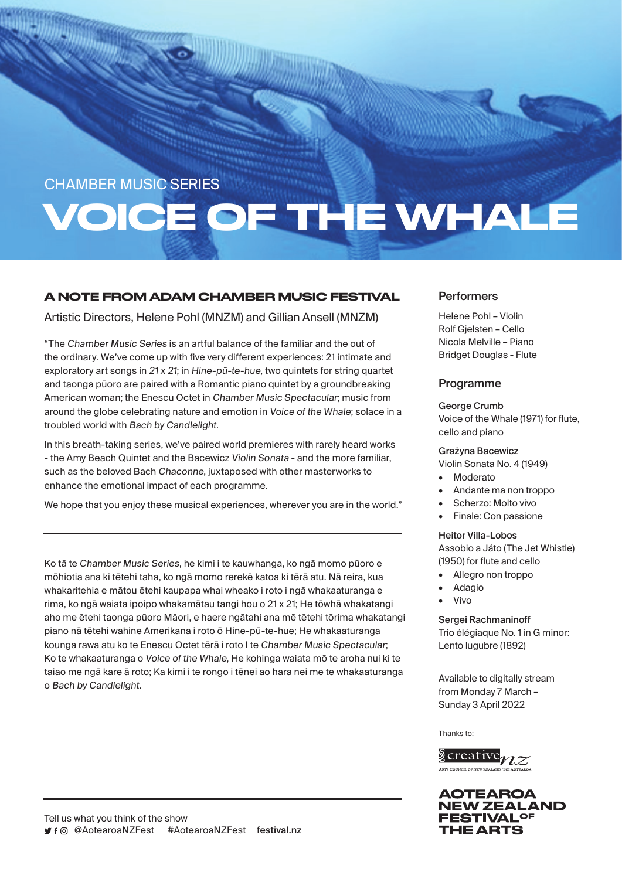# CHAMBER MUSIC SERIES

# VOICE OF THE WHALE

# A NOTE FROM ADAM CHAMBER MUSIC FESTIVAL

Artistic Directors, Helene Pohl (MNZM) and Gillian Ansell (MNZM)

"The Chamber Music Series is an artful balance of the familiar and the out of the ordinary. We've come up with five very different experiences: 21 intimate and exploratory art songs in 21 x 21; in Hine-pū-te-hue, two quintets for string quartet and taonga pūoro are paired with a Romantic piano quintet by a groundbreaking American woman; the Enescu Octet in Chamber Music Spectacular; music from around the globe celebrating nature and emotion in Voice of the Whale; solace in a troubled world with Bach by Candlelight.

In this breath-taking series, we've paired world premieres with rarely heard works - the Amy Beach Quintet and the Bacewicz Violin Sonata - and the more familiar, such as the beloved Bach Chaconne, juxtaposed with other masterworks to enhance the emotional impact of each programme.

We hope that you enjoy these musical experiences, wherever you are in the world."

Ko tā te Chamber Music Series, he kimi i te kauwhanga, ko ngā momo pūoro e mōhiotia ana ki tētehi taha, ko ngā momo rerekē katoa ki tērā atu. Nā reira, kua whakaritehia e mātou ētehi kaupapa whai wheako i roto i ngā whakaaturanga e rima, ko ngā waiata ipoipo whakamātau tangi hou o 21 x 21; He tōwhā whakatangi aho me ētehi taonga pūoro Māori, e haere ngātahi ana mē tētehi tōrima whakatangi piano nā tētehi wahine Amerikana i roto ō Hine-pū-te-hue; He whakaaturanga kounga rawa atu ko te Enescu Octet tērā i roto I te Chamber Music Spectacular; Ko te whakaaturanga o Voice of the Whale, He kohinga waiata mō te aroha nui ki te taiao me ngā kare ā roto; Ka kimi i te rongo i tēnei ao hara nei me te whakaaturanga o Bach by Candlelight.

# **Performers**

Helene Pohl – Violin Rolf Gjelsten – Cello Nicola Melville – Piano Bridget Douglas - Flute

## **Programme**

George Crumb Voice of the Whale (1971) for flute,

## Grażyna Bacewicz

cello and piano

Violin Sonata No. 4 (1949)

- **Moderato**
- Andante ma non troppo
- Scherzo: Molto vivo
- Finale: Con passione

## Heitor Villa-Lobos

Assobio a Játo (The Jet Whistle) (1950) for flute and cello

- Allegro non troppo
- Adagio
- Vivo

## Sergei Rachmaninoff

Trio élégiaque No. 1 in G minor: Lento lugubre (1892)

Available to digitally stream from Monday 7 March – Sunday 3 April 2022

Thanks to: